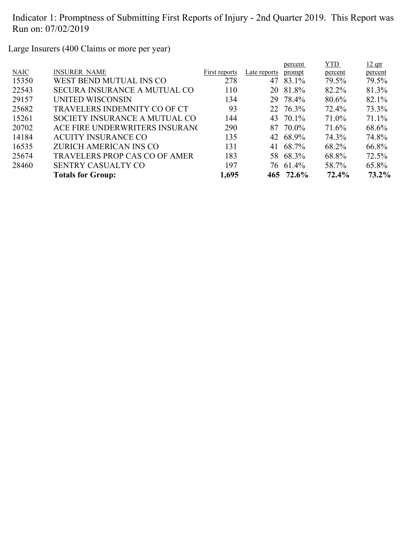Large Insurers (400 Claims or more per year)

|             |                                      |               |              | percent   | <b>YTD</b> | $12$ qtr |
|-------------|--------------------------------------|---------------|--------------|-----------|------------|----------|
| <b>NAIC</b> | <b>INSURER NAME</b>                  | First reports | Late reports | prompt    | percent    | percent  |
| 15350       | WEST BEND MUTUAL INS CO              | 278           |              | 47 83.1%  | 79.5%      | 79.5%    |
| 22543       | <b>SECURA INSURANCE A MUTUAL CO</b>  | 110           |              | 20 81.8%  | 82.2%      | 81.3%    |
| 29157       | UNITED WISCONSIN                     | 134           |              | 29 78.4%  | 80.6%      | 82.1%    |
| 25682       | TRAVELERS INDEMNITY CO OF CT         | 93            |              | 22 76.3%  | 72.4%      | 73.3%    |
| 15261       | SOCIETY INSURANCE A MUTUAL CO        | 144           |              | 43 70.1%  | 71.0%      | 71.1%    |
| 20702       | ACE FIRE UNDERWRITERS INSURANC       | 290           | 87           | 70.0%     | 71.6%      | 68.6%    |
| 14184       | <b>ACUITY INSURANCE CO</b>           | 135           |              | 42 68.9%  | 74.3%      | 74.8%    |
| 16535       | ZURICH AMERICAN INS CO               | 131           |              | 41 68.7%  | 68.2%      | 66.8%    |
| 25674       | <b>TRAVELERS PROP CAS CO OF AMER</b> | 183           |              | 58 68.3%  | 68.8%      | 72.5%    |
| 28460       | <b>SENTRY CASUALTY CO</b>            | 197           |              | 76 61.4%  | 58.7%      | 65.8%    |
|             | <b>Totals for Group:</b>             | 1,695         |              | 465 72.6% | 72.4%      | 73.2%    |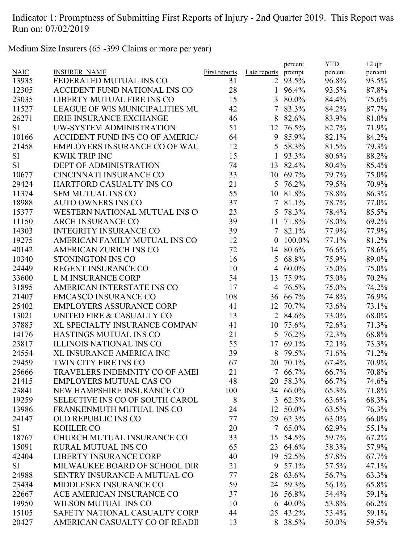Medium Size Insurers (65 -399 Claims or more per year)

|             |                                        |               |                | percent  | <b>YTD</b> | $12$ qtr |
|-------------|----------------------------------------|---------------|----------------|----------|------------|----------|
| <b>NAIC</b> | <b>INSURER NAME</b>                    | First reports | Late reports   | prompt   | percent    | percent  |
| 13935       | FEDERATED MUTUAL INS CO                | 31            |                | 2 93.5%  | 96.8%      | 93.5%    |
| 12305       | ACCIDENT FUND NATIONAL INS CO          | 28            | $\mathbf{1}$   | 96.4%    | 93.5%      | 87.8%    |
| 23035       | LIBERTY MUTUAL FIRE INS CO             | 15            |                | 3 80.0%  | 84.4%      | 75.6%    |
| 11527       | <b>LEAGUE OF WIS MUNICIPALITIES MU</b> | 42            | 7              | 83.3%    | 84.2%      | 87.7%    |
| 26271       | ERIE INSURANCE EXCHANGE                | 46            | 8              | 82.6%    | 83.9%      | 81.0%    |
| <b>SI</b>   | UW-SYSTEM ADMINISTRATION               | 51            | 12             | 76.5%    | 82.7%      | 71.9%    |
| 10166       | <b>ACCIDENT FUND INS CO OF AMERICA</b> | 64            | 9              | 85.9%    | 82.1%      | 84.2%    |
| 21458       | <b>EMPLOYERS INSURANCE CO OF WAL</b>   | 12            |                | 5 58.3%  | 81.5%      | 79.3%    |
| <b>SI</b>   | <b>KWIK TRIP INC</b>                   | 15            | $\mathbf{1}$   | 93.3%    | 80.6%      | 88.2%    |
| <b>SI</b>   | <b>DEPT OF ADMINISTRATION</b>          | 74            | 13             | 82.4%    | 80.4%      | 85.4%    |
| 10677       | CINCINNATI INSURANCE CO                | 33            | 10             | 69.7%    | 79.7%      | 75.0%    |
| 29424       | HARTFORD CASUALTY INS CO               | 21            | 5              | 76.2%    | 79.5%      | 70.9%    |
| 11374       | <b>SFM MUTUAL INS CO</b>               | 55            | 10             | 81.8%    | 78.8%      | 86.3%    |
| 18988       | <b>AUTO OWNERS INS CO</b>              | 37            | $\overline{7}$ | 81.1%    | 78.7%      | 77.0%    |
| 15377       | WESTERN NATIONAL MUTUAL INS C          | 23            |                | 5 78.3%  | 78.4%      | 85.5%    |
| 11150       | <b>ARCH INSURANCE CO</b>               | 39            | 11             | 71.8%    | 78.0%      | 69.2%    |
| 14303       | <b>INTEGRITY INSURANCE CO</b>          | 39            |                | 7 82.1%  | 77.9%      | 77.9%    |
| 19275       | AMERICAN FAMILY MUTUAL INS CO          | 12            | $\overline{0}$ | 100.0%   | 77.1%      | 81.2%    |
| 40142       | AMERICAN ZURICH INS CO                 | 72            | 14             | 80.6%    | 76.6%      | 78.6%    |
| 10340       | STONINGTON INS CO                      | 16            |                | 5 68.8%  | 75.9%      | 89.0%    |
| 24449       | REGENT INSURANCE CO                    | 10            |                | 4 60.0%  | 75.0%      | 75.0%    |
| 33600       | L M INSURANCE CORP                     | 54            | 13             | 75.9%    | 75.0%      | 70.2%    |
| 31895       | AMERICAN INTERSTATE INS CO             | 17            |                | 4 76.5%  | 75.0%      | 74.2%    |
| 21407       | <b>EMCASCO INSURANCE CO</b>            | 108           |                | 36 66.7% | 74.8%      | 76.9%    |
| 25402       | <b>EMPLOYERS ASSURANCE CORP</b>        | 41            | 12             | 70.7%    | 73.6%      | 73.1%    |
| 13021       | UNITED FIRE & CASUALTY CO              | 13            |                | 2 84.6%  | 73.0%      | 68.0%    |
| 37885       | XL SPECIALTY INSURANCE COMPAN          | 41            | 10             | 75.6%    | 72.6%      | 71.3%    |
| 14176       | HASTINGS MUTUAL INS CO                 | 21            |                | 5 76.2%  | 72.3%      | 68.8%    |
| 23817       | <b>ILLINOIS NATIONAL INS CO</b>        | 55            | 17             | 69.1%    | 72.1%      | 73.3%    |
| 24554       | XL INSURANCE AMERICA INC               | 39            | 8              | 79.5%    | 71.6%      | 71.2%    |
| 29459       | TWIN CITY FIRE INS CO                  | 67            | 20             | 70.1%    | 67.4%      | 70.9%    |
| 25666       | TRAVELERS INDEMNITY CO OF AMEI         | 21            |                | 7 66.7%  | 66.7%      | 70.8%    |
| 21415       | <b>EMPLOYERS MUTUAL CAS CO</b>         | 48            |                | 20 58.3% | 66.7%      | 74.6%    |
| 23841       | NEW HAMPSHIRE INSURANCE CO             | 100           |                | 34 66.0% | 65.3%      | 71.8%    |
| 19259       | <b>SELECTIVE INS CO OF SOUTH CAROL</b> | 8             | 3              | 62.5%    | 63.6%      | 68.3%    |
| 13986       | FRANKENMUTH MUTUAL INS CO              | 24            | 12             | 50.0%    | 63.5%      | 76.3%    |
| 24147       | <b>OLD REPUBLIC INS CO</b>             | 77            |                | 29 62.3% | 63.0%      | 66.0%    |
| SI          | <b>KOHLER CO</b>                       | 20            |                | 7 65.0%  | 62.9%      | 55.1%    |
| 18767       | CHURCH MUTUAL INSURANCE CO             | 33            | 15             | 54.5%    | 59.7%      | 67.2%    |
| 15091       | <b>RURAL MUTUAL INS CO</b>             | 65            |                | 23 64.6% | 58.3%      | 57.9%    |
| 42404       | <b>LIBERTY INSURANCE CORP</b>          | 40            |                | 19 52.5% | 57.8%      | 67.7%    |
| SI          | MILWAUKEE BOARD OF SCHOOL DIR          | 21            | 9              | 57.1%    | 57.5%      | 47.1%    |
| 24988       | SENTRY INSURANCE A MUTUAL CO           | 77            | 28             | 63.6%    | 56.7%      | 63.3%    |
| 23434       | MIDDLESEX INSURANCE CO                 | 59            |                | 24 59.3% | 56.1%      | 65.8%    |
| 22667       | ACE AMERICAN INSURANCE CO              | 37            |                | 16 56.8% | 54.4%      | 59.1%    |
| 19950       | <b>WILSON MUTUAL INS CO</b>            | 10            |                | 6 40.0%  | 53.8%      | 66.2%    |
| 15105       | SAFETY NATIONAL CASUALTY CORP          | 44            |                | 25 43.2% | 53.4%      | 59.1%    |
| 20427       | AMERICAN CASUALTY CO OF READI          | 13            |                | 8 38.5%  | 50.0%      | 59.5%    |
|             |                                        |               |                |          |            |          |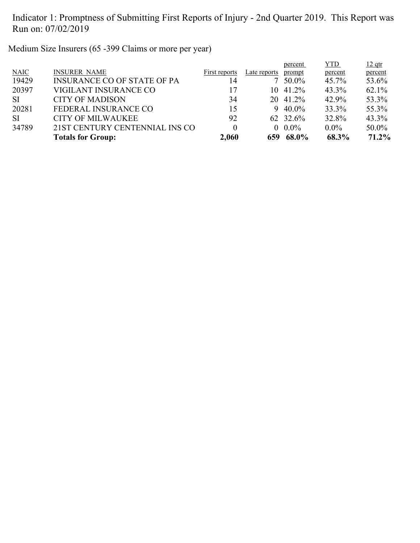Medium Size Insurers (65 -399 Claims or more per year)

|           |                                    |               |              | percent  | <b>YTD</b> | $12$ qtr |
|-----------|------------------------------------|---------------|--------------|----------|------------|----------|
| NAIC      | <b>INSURER NAME</b>                | First reports | Late reports | prompt   | percent    | percent  |
| 19429     | <b>INSURANCE CO OF STATE OF PA</b> | 14            |              | $50.0\%$ | $45.7\%$   | 53.6%    |
| 20397     | VIGILANT INSURANCE CO              | 17            | 10.          | 41.2%    | 43.3%      | $62.1\%$ |
| <b>SI</b> | <b>CITY OF MADISON</b>             | 34            |              | 20 41.2% | 42.9%      | 53.3%    |
| 20281     | FEDERAL INSURANCE CO               | 15            | 9            | $40.0\%$ | 33.3%      | 55.3%    |
| <b>SI</b> | <b>CITY OF MILWAUKEE</b>           | 92            |              | 62 32.6% | 32.8%      | 43.3%    |
| 34789     | 21ST CENTURY CENTENNIAL INS CO     | 0             |              | $0.0\%$  | $0.0\%$    | 50.0%    |
|           | <b>Totals for Group:</b>           | 2,060         | 659          | 68.0%    | 68.3%      | 71.2%    |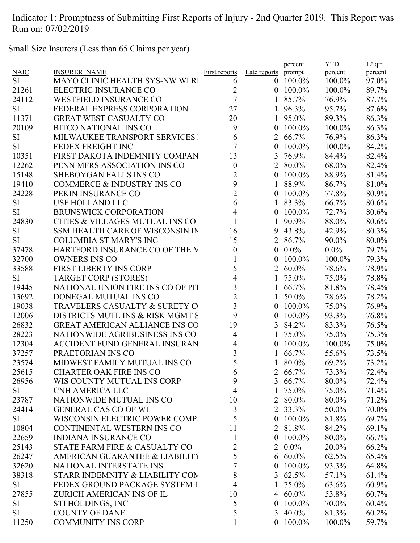Small Size Insurers (Less than 65 Claims per year)

|             |                                       |                      |                  | percent      | <b>YTD</b> | $12$ qtr |
|-------------|---------------------------------------|----------------------|------------------|--------------|------------|----------|
| <b>NAIC</b> | <b>INSURER NAME</b>                   | <b>First reports</b> | Late reports     | prompt       | percent    | percent  |
| <b>SI</b>   | <b>MAYO CLINIC HEALTH SYS-NW WI R</b> | 6                    | $\theta$         | 100.0%       | 100.0%     | 97.0%    |
| 21261       | ELECTRIC INSURANCE CO                 | $\overline{2}$       | $\mathbf{0}$     | 100.0%       | 100.0%     | 89.7%    |
| 24112       | <b>WESTFIELD INSURANCE CO</b>         | $\overline{7}$       | 1                | 85.7%        | 76.9%      | 87.7%    |
| <b>SI</b>   | FEDERAL EXPRESS CORPORATION           | 27                   | 1                | 96.3%        | 95.7%      | 87.6%    |
| 11371       | <b>GREAT WEST CASUALTY CO</b>         | 20                   | 1                | 95.0%        | 89.3%      | 86.3%    |
| 20109       | <b>BITCO NATIONAL INS CO</b>          | 9                    | $\boldsymbol{0}$ | 100.0%       | 100.0%     | 86.3%    |
| SI          | MILWAUKEE TRANSPORT SERVICES          | 6                    | $\overline{2}$   | 66.7%        | 76.9%      | 86.3%    |
| <b>SI</b>   | FEDEX FREIGHT INC                     | $\overline{7}$       | $\theta$         | 100.0%       | 100.0%     | 84.2%    |
| 10351       | FIRST DAKOTA INDEMNITY COMPAN         | 13                   | 3                | 76.9%        | 84.4%      | 82.4%    |
| 12262       | PENN MFRS ASSOCIATION INS CO          | 10                   |                  | 2 80.0%      | 68.0%      | 82.4%    |
| 15148       | SHEBOYGAN FALLS INS CO                | $\overline{2}$       | $\mathbf{0}$     | 100.0%       | 88.9%      | 81.4%    |
| 19410       | COMMERCE & INDUSTRY INS CO            | 9                    | 1                | 88.9%        | 86.7%      | 81.0%    |
| 24228       | PEKIN INSURANCE CO                    | $\overline{2}$       | $\boldsymbol{0}$ | 100.0%       | 77.8%      | 80.9%    |
| SI          | <b>USF HOLLAND LLC</b>                | 6                    | 1                | 83.3%        | 66.7%      | 80.6%    |
| <b>SI</b>   | <b>BRUNSWICK CORPORATION</b>          | $\overline{4}$       | $\overline{0}$   | 100.0%       | 72.7%      | 80.6%    |
| 24830       | CITIES & VILLAGES MUTUAL INS CO       | 11                   | 1                | 90.9%        | 88.0%      | 80.6%    |
| <b>SI</b>   | SSM HEALTH CARE OF WISCONSIN IN       | 16                   | 9                | 43.8%        | 42.9%      | 80.3%    |
| <b>SI</b>   | <b>COLUMBIA ST MARY'S INC</b>         | 15                   |                  | 2 86.7%      | 90.0%      | 80.0%    |
| 37478       | HARTFORD INSURANCE CO OF THE M        | $\boldsymbol{0}$     | $\mathbf{0}$     | $0.0\%$      | $0.0\%$    | 79.7%    |
| 32700       | <b>OWNERS INS CO</b>                  | 1                    | 0                | 100.0%       | 100.0%     | 79.3%    |
| 33588       | <b>FIRST LIBERTY INS CORP</b>         | 5                    | $\overline{2}$   | $60.0\%$     | 78.6%      | 78.9%    |
| <b>SI</b>   | <b>TARGET CORP (STORES)</b>           | 4                    | 1                | 75.0%        | 75.0%      | 78.8%    |
| 19445       | NATIONAL UNION FIRE INS CO OF PIT     | 3                    |                  | 66.7%        | 81.8%      | 78.4%    |
| 13692       | DONEGAL MUTUAL INS CO                 | $\overline{2}$       |                  | 50.0%        | 78.6%      | 78.2%    |
| 19038       | TRAVELERS CASUALTY & SURETY C         | 3                    | $\overline{0}$   | 100.0%       | 75.0%      | 76.9%    |
| 12006       | DISTRICTS MUTL INS & RISK MGMT S      | 9                    | $\boldsymbol{0}$ | 100.0%       | 93.3%      | 76.8%    |
| 26832       | <b>GREAT AMERICAN ALLIANCE INS CO</b> | 19                   | 3                | 84.2%        | 83.3%      | 76.5%    |
| 28223       | NATIONWIDE AGRIBUSINESS INS CO        | $\overline{4}$       | 1                | 75.0%        | 75.0%      | 75.3%    |
| 12304       | <b>ACCIDENT FUND GENERAL INSURAN</b>  | 4                    | $\boldsymbol{0}$ | 100.0%       | 100.0%     | 75.0%    |
| 37257       | PRAETORIAN INS CO                     | 3                    |                  | 66.7%        | 55.6%      | 73.5%    |
| 23574       | MIDWEST FAMILY MUTUAL INS CO          | 5                    |                  | 80.0%        | 69.2%      | 73.2%    |
| 25615       | <b>CHARTER OAK FIRE INS CO</b>        | 6                    |                  | 2 66.7%      | 73.3%      | 72.4%    |
| 26956       | WIS COUNTY MUTUAL INS CORP            | 9                    |                  | 3 $66.7\%$   | 80.0%      | 72.4%    |
| <b>SI</b>   | <b>CNH AMERICA LLC</b>                | $\overline{4}$       |                  | 75.0%        | 75.0%      | 71.4%    |
| 23787       | NATIONWIDE MUTUAL INS CO              | 10                   |                  | 2 80.0%      | 80.0%      | 71.2%    |
| 24414       | <b>GENERAL CAS CO OF WI</b>           | $\mathfrak{Z}$       |                  | 2 33.3%      | 50.0%      | 70.0%    |
|             |                                       | 5                    |                  | $100.0\%$    |            |          |
| SI          | WISCONSIN ELECTRIC POWER COMP.        |                      | $\overline{0}$   |              | 81.8%      | 69.7%    |
| 10804       | CONTINENTAL WESTERN INS CO            | 11                   |                  | 2 81.8%      | 84.2%      | 69.1%    |
| 22659       | <b>INDIANA INSURANCE CO</b>           | $\mathbf{1}$         | $\overline{0}$   | $100.0\%$    | 80.0%      | 66.7%    |
| 25143       | STATE FARM FIRE & CASUALTY CO         | $\overline{2}$       |                  | $2\ \ 0.0\%$ | 20.0%      | 66.2%    |
| 26247       | AMERICAN GUARANTEE & LIABILITY        | 15                   |                  | $6\,60.0\%$  | 62.5%      | 65.4%    |
| 32620       | NATIONAL INTERSTATE INS               | 7                    | $\overline{0}$   | 100.0%       | 93.3%      | 64.8%    |
| 38318       | STARR INDEMNITY & LIABILITY COM       | 8                    |                  | 3 $62.5%$    | 57.1%      | 61.4%    |
| SI          | FEDEX GROUND PACKAGE SYSTEM I         | $\overline{4}$       | 1                | 75.0%        | 63.6%      | 60.9%    |
| 27855       | ZURICH AMERICAN INS OF IL             | 10                   |                  | 4 $60.0\%$   | 53.8%      | 60.7%    |
| SI          | STI HOLDINGS, INC                     | 5                    | $\overline{0}$   | 100.0%       | 70.0%      | $60.4\%$ |
| <b>SI</b>   | <b>COUNTY OF DANE</b>                 | 5                    |                  | 3 $40.0\%$   | 81.3%      | $60.2\%$ |
| 11250       | <b>COMMUNITY INS CORP</b>             | $\mathbf{1}$         |                  | $0$ 100.0%   | 100.0%     | 59.7%    |